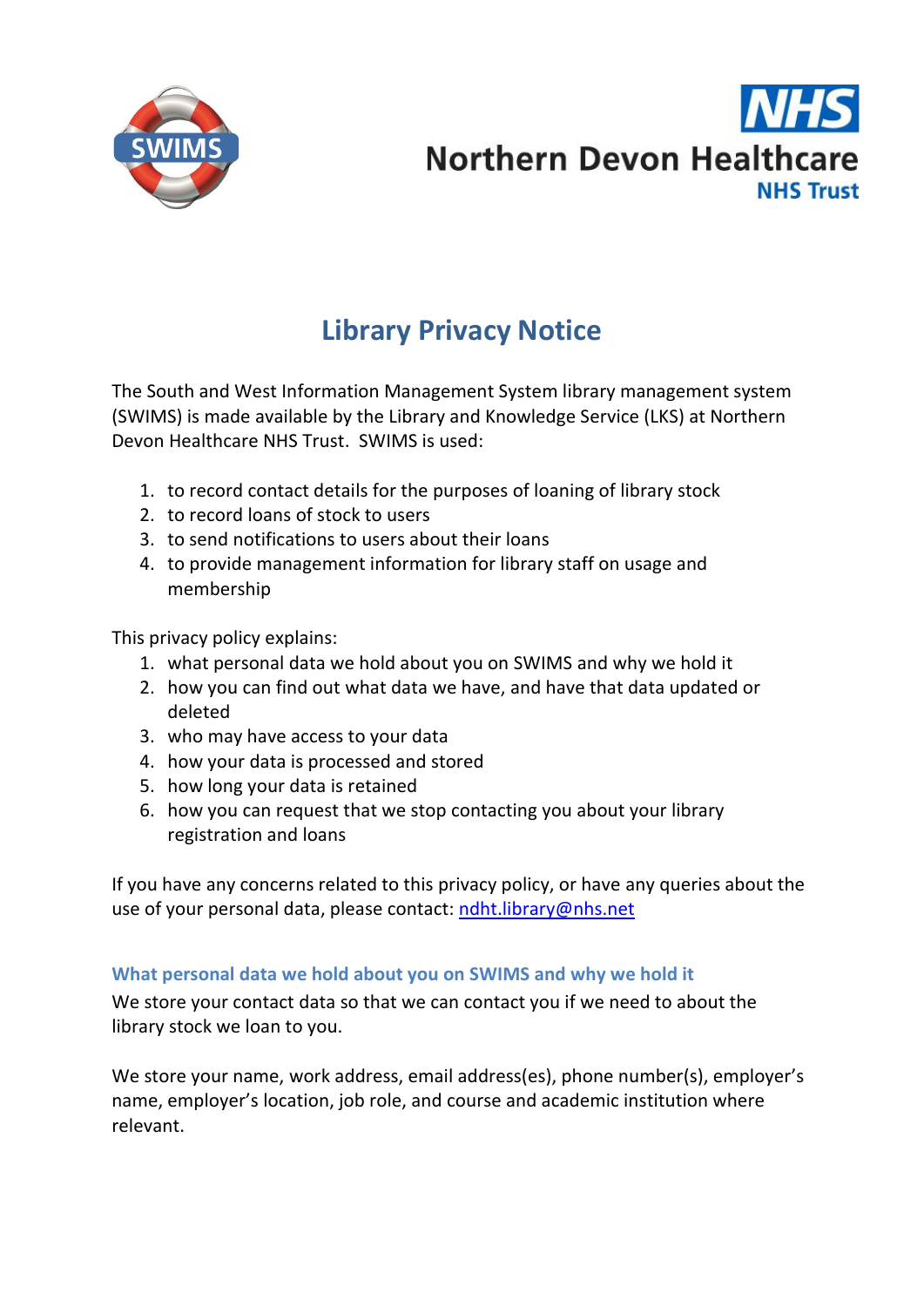

# **Northern Devon Healthcare NHS Trust**

# **Library Privacy Notice**

The South and West Information Management System library management system (SWIMS) is made available by the Library and Knowledge Service (LKS) at Northern Devon Healthcare NHS Trust. SWIMS is used:

- 1. to record contact details for the purposes of loaning of library stock
- 2. to record loans of stock to users
- 3. to send notifications to users about their loans
- 4. to provide management information for library staff on usage and membership

This privacy policy explains:

- 1. what personal data we hold about you on SWIMS and why we hold it
- 2. how you can find out what data we have, and have that data updated or deleted
- 3. who may have access to your data
- 4. how your data is processed and stored
- 5. how long your data is retained
- 6. how you can request that we stop contacting you about your library registration and loans

If you have any concerns related to this privacy policy, or have any queries about the use of your personal data, please contact: [ndht.library@nhs.net](mailto:ndht.library@nhs.net)

# **What personal data we hold about you on SWIMS and why we hold it**

We store your contact data so that we can contact you if we need to about the library stock we loan to you.

We store your name, work address, email address(es), phone number(s), employer's name, employer's location, job role, and course and academic institution where relevant.